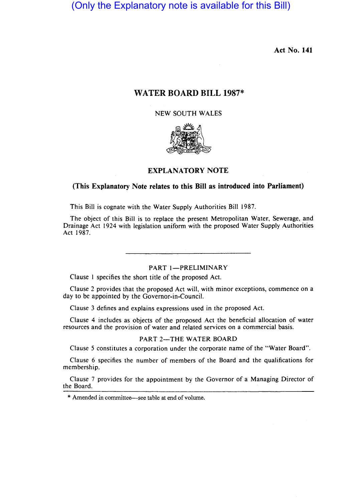# (Only the Explanatory note is available for this Bill)

Act No. 141

# WATER BOARD BILL 1987\*

NEW SOUTH WALES



#### EXPLANATORY NOTE

# (This Explanatory Note relates to this Bill as introduced into Parliament)

This Bill is cognate with the Water Supply Authorities Bill 1987.

The object of this Bill is to replace the present Metropolitan Water, Sewerage, and Drainage Act 1924 with legislation uniform with the proposed Water Supply Authorities Act 1987.

PART 1-PRELIMINARY

Clause 1 specifies the short title of the proposed Act.

Clause 2 provides that the proposed Act will, with minor exceptions, commence on a day to be appointed by the Governor-in-Council.

Clause 3 defines and explains expressions used in the proposed Act.

Clause 4 includes as objects of the proposed Act the beneficial allocation of water resources and the provision of water and related services on a commercial basis.

#### PART 2-THE WATER BOARD

Clause 5 constitutes a corporation under the corporate name of the "Water Board".

Clause 6 specifies the number of members of the Board and the qualifications for membership.

Clause 7 provides for the appointment by the Governor of a Managing Director of the Board.

\* Amended in committee-see table at end of volume.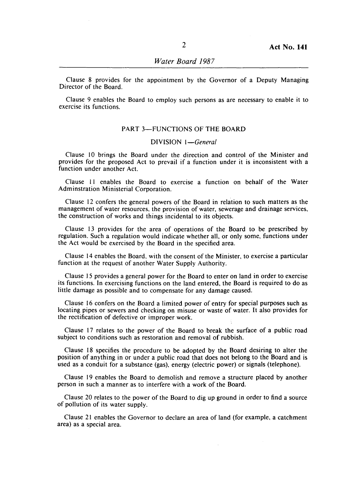Clause 8 provides for the appointment by the Governor of a Deputy Managing Director of the Board.

Clause 9 enables the Board to employ such persons as are necessary to enable it to exercise its functions.

### PART 3-FUNCTIONS OF THE BOARD

# DIVISION *I-General*

Clause 10 brings the Board under the direction and control of the Minister and provides for the proposed Act to prevail if a function under it is inconsistent with a function under another Act.

Clause II enables the Board to exercise a function on behalf of the Water Adminstration Ministerial Corporation.

Clause 12 confers the general powers of the Board in relation to such matters as the management of water resources. the provision of water. sewerage and drainage services. the construction of works and things incidental to its objects.

Clause 13 provides for the area of operations of the Board to be prescribed by regulation. Such a regulation would indicate whether all, or only some. functions under the Act would be exercised by the Board in the specified area.

Clause 14 enables the Board. with the consent of the Minister. to exercise a particular function at the request of another Water Supply Authority.

Clause 15 provides a general power for the Board to enter on land in order to exercise its functions. In exercising functions on the land entered, the Board is required to do as little damage as possible and to compensate for any damage caused.

Clause 16 confers on the Board a limited power of entry for special purposes such as locating pipes or sewers and checking on misuse or waste of water. It also provides for the rectification of defective or improper work.

Clause 17 relates to the power of the Board to break the surface of a public road subject to conditions such as restoration and removal of rubbish.

Clause 18 specifies the procedure to be adopted by the Board desiring to alter the position of anything in or under a public road that does not belong to the Board and is used as a conduit for a substance (gas). energy (electric power) or signals (telephone).

Clause 19 enables the Board to demolish and remove a structure placed by another person in such a manner as to interfere with a work of the Board.

Clause 20 relates to the power of the Board to dig up ground in order to find a source of pollution of its water supply.

Clause 21 enables the Governor to declare an area of land (for example, a catchment area) as a special area.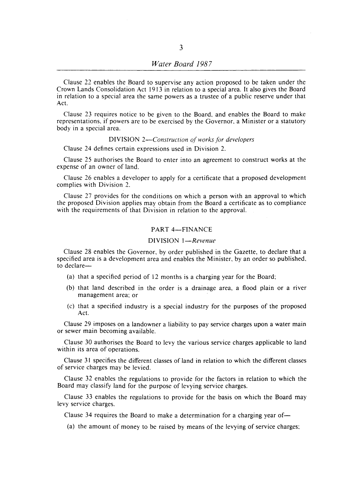Clause 22 enables the Board to supervise any action proposed to be taken under the Crown Lands Consolidation Act 1913 in relation to a special area. It also gives the Board in relation to a special area the same powers as a trustee of a public reserve under that Act.

Clause 23 requires notice to be given to the Board, and enables the Board to make representations, if powers are to be exercised by the Governor, a Minister or a statutory body in a special area.

#### DIVISION *2-Construction of works for developers*

Clause 24 defines certain expressions used in Division 2.

Clause 25 authorises the Board to enter into an agreement to construct works at the expense of an owner of land.

Clause 26 enables a developer to apply for a certificate that a proposed development complies with Division 2.

Clause 27 provides for the conditions on which a person with an approval to which the proposed Division applies may obtain from the Board a certificate as to compliance with the requirements of that Division in relation to the approval.

# PART 4-FINANCE

#### DIVISION *I-Revenue*

Clause 28 enables the Governor, by order published in the Gazette, to declare that a specified area is a development area and enables the Minister, by an order so published, to declare-

- (a) that a specified period of 12 months is a charging year for the Board;
- (b) that land described in the order is a drainage area, a flood plain or a river management area; or
- (c) that a specified industry is a special industry for the purposes of the proposed Act.

Clause 29 imposes on a landowner a liability to pay service charges upon a water main or sewer main becoming available.

Clause 30 authorises the Board to levy the various service charges applicable to land within its area of operations.

Clause 31 specifies the different classes of land in relation to which the different classes of service charges may be levied.

Clause 32 enables the regulations to provide for the factors in relation to which the Board may classify land for the purpose of levying service charges.

Clause 33 enables the regulations to provide for the basis on which the Board may levy service charges.

Clause 34 requires the Board to make a determination for a charging year of-

(a) the amount of money to be raised by means of the levying of service charges;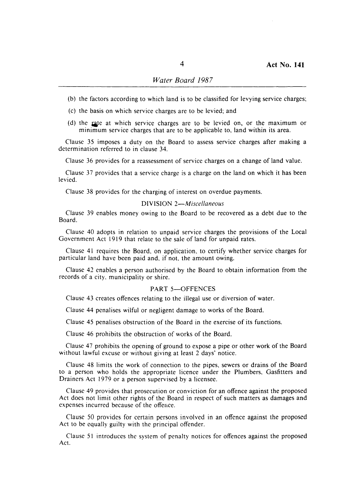- (b) the factors according to which land is to be classified for levying service charges;
- (c) the basis on which service charges are to be levied; and
- (d) the rate at which service charges are to be levied on, or the maximum or minimum service charges that are to be applicable to, land within its area.

Clause 35 imposes a duty on the Board to assess service charges after making a determination referred to in clause 34.

Clause 36 provides for a reassessment of service charges on a change of land value.

Clause 37 provides that a service charge is a charge on the land on which it has been levied.

Clause 38 provides for the charging of interest on overdue payments.

### DIVISION *2-Miscellaneous*

Clause 39 enables money owing to the Board to be recovered as a debt due to the Board.

Clause 40 adopts in relation to unpaid service charges the provisions of the Local Government Act 1919 that relate to the sale of land for unpaid rates.

Clause 41 requires the Board, on application, to certify whether service charges for particular land have been paid and, if not, the amount owing.

Clause 42 enables a person authorised by the Board to obtain information from the records of a city, municipality or shire.

#### PART 5-OFFENCES

Clause 43 creates offences relating to the illegal use or diversion of water.

Clause 44 penalises wilful or negligent damage to works of the Board.

Clause 45 penalises obstruction of the Board in the exercise of its functions.

Clause 46 prohibits the obstruction of works of the Board.

Clause 47 prohibits the opening of ground to expose a pipe or other work of the Board without lawful excuse or without giving at least 2 days' notice.

Clause 48 limits the work of connection to the pipes, sewers or drains of the Board to a person who holds the appropriate licence under the Plumbers, Gasfitters and Drainers Act 1979 or a person supervised by a licensee.

Clause 49 provides that prosecution or conviction for an offence against the proposed Act does not limit other rights of the Board in respect of such matters as damages and expenses incurred because of the offence.

Clause 50 provides for certain persons involved in an offence against the proposed Act to be equally guilty with the principal offender.

Clause 51 introduces the system of penalty notices for offences against the proposed Act.